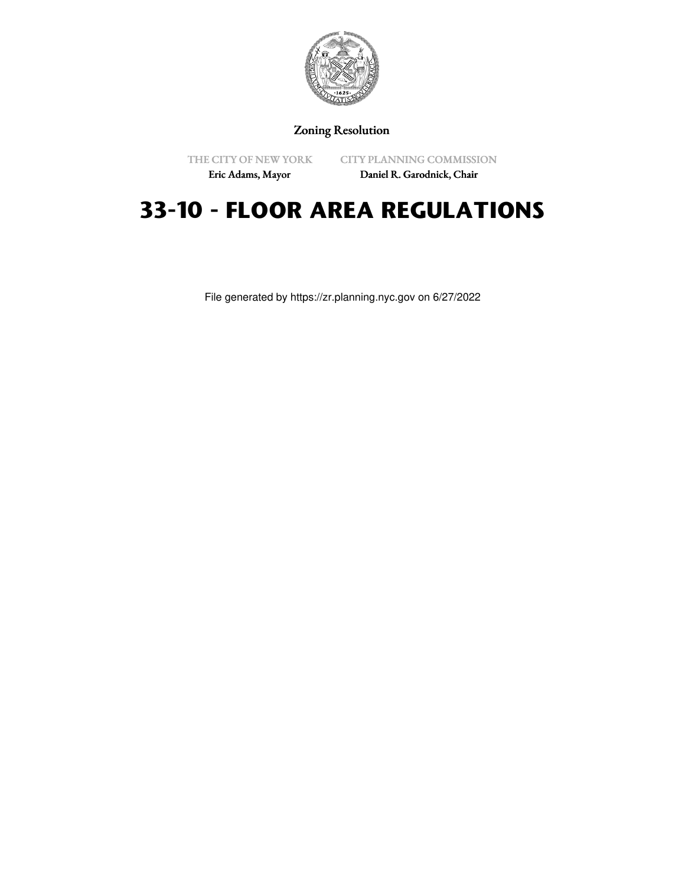

Zoning Resolution

THE CITY OF NEW YORK

CITY PLANNING COMMISSION

Eric Adams, Mayor

Daniel R. Garodnick, Chair

# **33-10 - FLOOR AREA REGULATIONS**

File generated by https://zr.planning.nyc.gov on 6/27/2022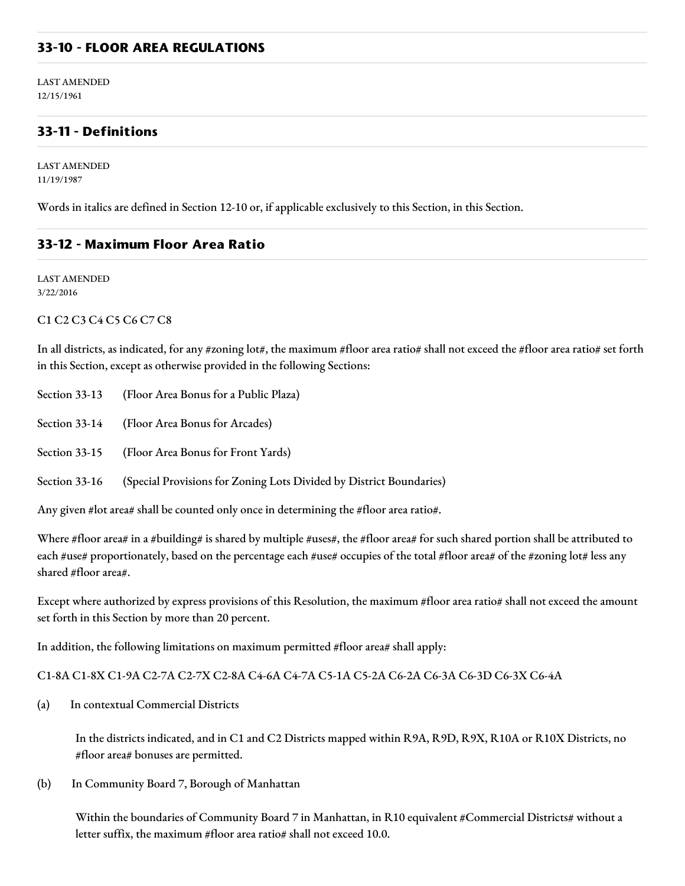## **33-10 - FLOOR AREA REGULATIONS**

LAST AMENDED 12/15/1961

## **33-11 - Definitions**

LAST AMENDED 11/19/1987

Words in italics are defined in Section 12-10 or, if applicable exclusively to this Section, in this Section.

#### **33-12 - Maximum Floor Area Ratio**

LAST AMENDED 3/22/2016

#### C1 C2 C3 C4 C5 C6 C7 C8

In all districts, as indicated, for any #zoning lot#, the maximum #floor area ratio# shall not exceed the #floor area ratio# set forth in this Section, except as otherwise provided in the following Sections:

Section 33-13 (Floor Area Bonus for a Public Plaza)

Section 33-14 (Floor Area Bonus for Arcades)

Section 33-15 (Floor Area Bonus for Front Yards)

Section 33-16 (Special Provisions for Zoning Lots Divided by District Boundaries)

Any given #lot area# shall be counted only once in determining the #floor area ratio#.

Where #floor area# in a #building# is shared by multiple #uses#, the #floor area# for such shared portion shall be attributed to each #use# proportionately, based on the percentage each #use# occupies of the total #floor area# of the #zoning lot# less any shared #floor area#.

Except where authorized by express provisions of this Resolution, the maximum #floor area ratio# shall not exceed the amount set forth in this Section by more than 20 percent.

In addition, the following limitations on maximum permitted #floor area# shall apply:

#### C1-8A C1-8X C1-9A C2-7A C2-7X C2-8A C4-6A C4-7A C5-1A C5-2A C6-2A C6-3A C6-3D C6-3X C6-4A

(a) In contextual Commercial Districts

In the districts indicated, and in C1 and C2 Districts mapped within R9A, R9D, R9X, R10A or R10X Districts, no #floor area# bonuses are permitted.

(b) In Community Board 7, Borough of Manhattan

Within the boundaries of Community Board 7 in Manhattan, in R10 equivalent #Commercial Districts# without a letter suffix, the maximum #floor area ratio# shall not exceed 10.0.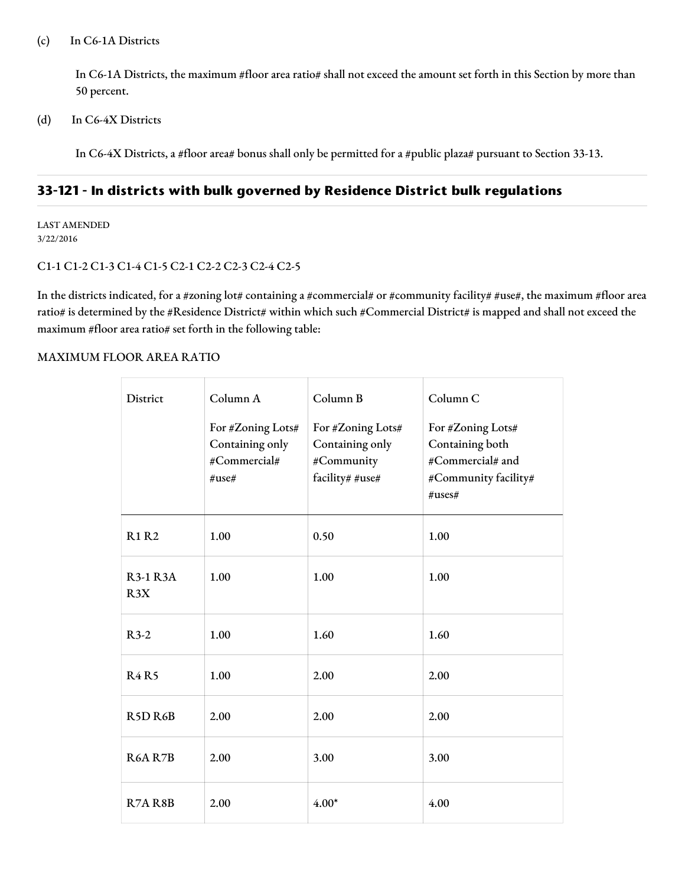#### (c) In C6-1A Districts

In C6-1A Districts, the maximum #floor area ratio# shall not exceed the amount set forth in this Section by more than 50 percent.

(d) In C6-4X Districts

In C6-4X Districts, a #floor area# bonus shall only be permitted for a #public plaza# pursuant to Section 33-13.

# **33-121 - In districts with bulk governed by Residence District bulk regulations**

LAST AMENDED 3/22/2016

#### C1-1 C1-2 C1-3 C1-4 C1-5 C2-1 C2-2 C2-3 C2-4 C2-5

In the districts indicated, for a #zoning lot# containing a #commercial# or #community facility# #use#, the maximum #floor area ratio# is determined by the #Residence District# within which such #Commercial District# is mapped and shall not exceed the maximum #floor area ratio# set forth in the following table:

#### MAXIMUM FLOOR AREA RATIO

| District                         | Column A<br>For #Zoning Lots#<br>Containing only<br>#Commercial#<br>#use# | Column B<br>For #Zoning Lots#<br>Containing only<br>#Community<br>facility# #use# | Column C<br>For #Zoning Lots#<br>Containing both<br>#Commercial# and<br>#Community facility#<br>$\#uses\#$ |
|----------------------------------|---------------------------------------------------------------------------|-----------------------------------------------------------------------------------|------------------------------------------------------------------------------------------------------------|
| <b>R1 R2</b>                     | 1.00                                                                      | 0.50                                                                              | 1.00                                                                                                       |
| <b>R3-1 R3A</b><br>R3X           | 1.00                                                                      | 1.00                                                                              | 1.00                                                                                                       |
| $R3-2$                           | 1.00                                                                      | 1.60                                                                              | 1.60                                                                                                       |
| <b>R4R5</b>                      | 1.00                                                                      | 2.00                                                                              | 2.00                                                                                                       |
| R <sub>5</sub> D <sub>R6</sub> B | 2.00                                                                      | 2.00                                                                              | 2.00                                                                                                       |
| <b>R6A R7B</b>                   | 2.00                                                                      | 3.00                                                                              | 3.00                                                                                                       |
| R7A R8B                          | 2.00                                                                      | $4.00*$                                                                           | 4.00                                                                                                       |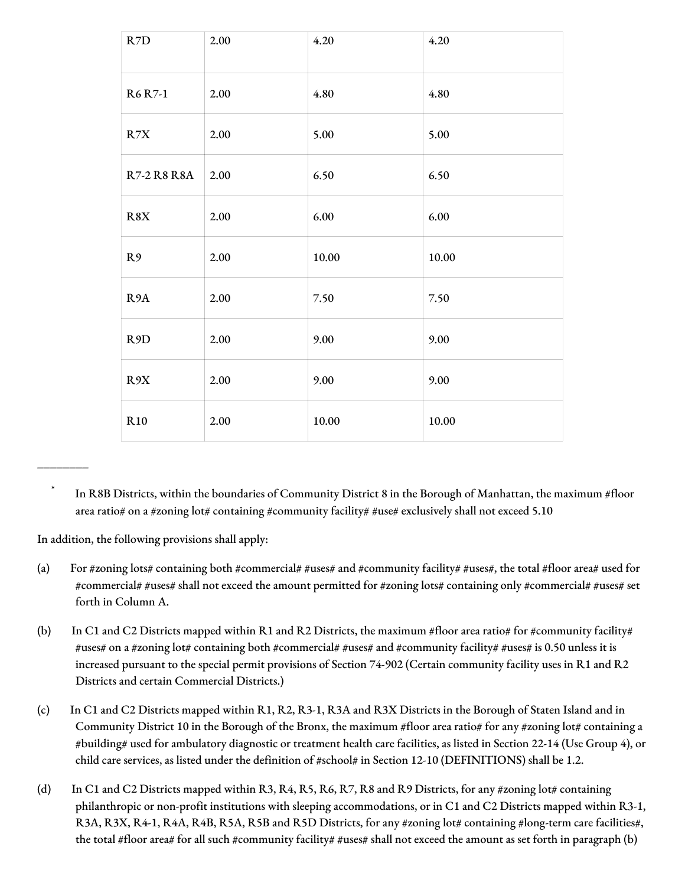| R7D                | 2.00 | 4.20      | 4.20  |
|--------------------|------|-----------|-------|
| <b>R6</b> R7-1     | 2.00 | 4.80      | 4.80  |
| R7X                | 2.00 | 5.00      | 5.00  |
| <b>R7-2 R8 R8A</b> | 2.00 | 6.50      | 6.50  |
| R8X                | 2.00 | 6.00      | 6.00  |
| R <sub>9</sub>     | 2.00 | 10.00     | 10.00 |
| R <sub>9</sub> A   | 2.00 | 7.50      | 7.50  |
| R <sub>9</sub> D   | 2.00 | 9.00      | 9.00  |
| R9X                | 2.00 | 9.00      | 9.00  |
| R10                | 2.00 | $10.00\,$ | 10.00 |

In R8B Districts, within the boundaries of Community District 8 in the Borough of Manhattan, the maximum #floor area ratio# on a #zoning lot# containing #community facility# #use# exclusively shall not exceed 5.10

In addition, the following provisions shall apply:

\_\_\_\_\_\_\_\_

- (a) For #zoning lots# containing both #commercial# #uses# and #community facility# #uses#, the total #floor area# used for #commercial# #uses# shall not exceed the amount permitted for #zoning lots# containing only #commercial# #uses# set forth in Column A.
- (b) In C1 and C2 Districts mapped within R1 and R2 Districts, the maximum #floor area ratio# for #community facility# #uses# on a #zoning lot# containing both #commercial# #uses# and #community facility# #uses# is 0.50 unless it is increased pursuant to the special permit provisions of Section 74-902 (Certain community facility uses in R1 and R2 Districts and certain Commercial Districts.)
- (c) In C1 and C2 Districts mapped within R1, R2, R3-1, R3A and R3X Districts in the Borough of Staten Island and in Community District 10 in the Borough of the Bronx, the maximum #floor area ratio# for any #zoning lot# containing a #building# used for ambulatory diagnostic or treatment health care facilities, as listed in Section 22-14 (Use Group 4), or child care services, as listed under the definition of #school# in Section 12-10 (DEFINITIONS) shall be 1.2.
- (d) In C1 and C2 Districts mapped within R3, R4, R5, R6, R7, R8 and R9 Districts, for any #zoning lot# containing philanthropic or non-profit institutions with sleeping accommodations, or in C1 and C2 Districts mapped within R3-1, R3A, R3X, R4-1, R4A, R4B, R5A, R5B and R5D Districts, for any #zoning lot# containing #long-term care facilities#, the total #floor area# for all such #community facility# #uses# shall not exceed the amount as set forth in paragraph (b)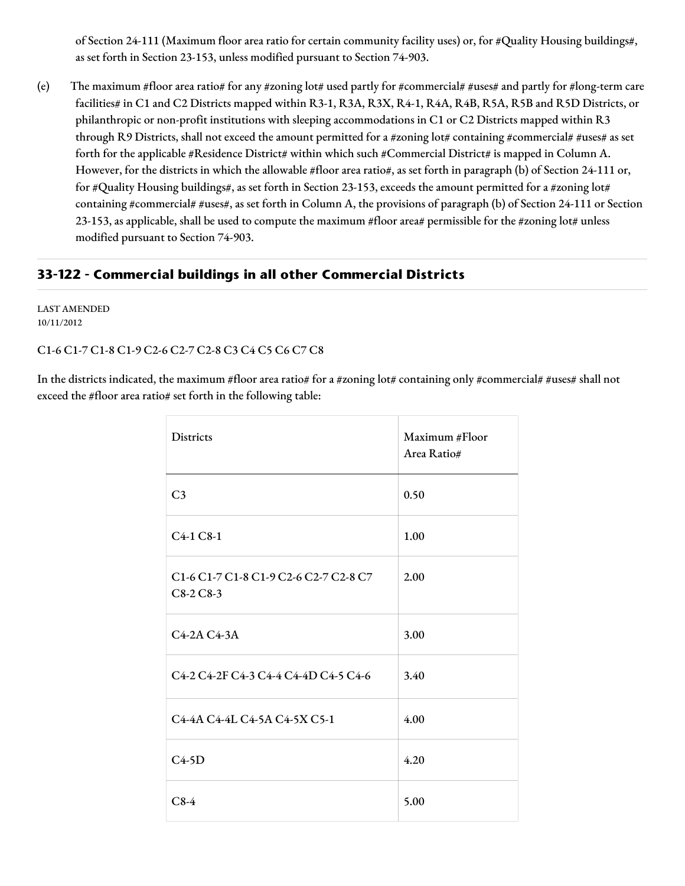of Section 24-111 (Maximum floor area ratio for certain community facility uses) or, for #Quality Housing buildings#, as set forth in Section 23-153, unless modified pursuant to Section 74-903.

(e) The maximum #floor area ratio# for any #zoning lot# used partly for #commercial# #uses# and partly for #long-term care facilities# in C1 and C2 Districts mapped within R3-1, R3A, R3X, R4-1, R4A, R4B, R5A, R5B and R5D Districts, or philanthropic or non-profit institutions with sleeping accommodations in C1 or C2 Districts mapped within R3 through R9 Districts, shall not exceed the amount permitted for a #zoning lot# containing #commercial# #uses# as set forth for the applicable #Residence District# within which such #Commercial District# is mapped in Column A. However, for the districts in which the allowable #floor area ratio#, as set forth in paragraph (b) of Section 24-111 or, for #Quality Housing buildings#, as set forth in Section 23-153, exceeds the amount permitted for a #zoning lot# containing #commercial# #uses#, as set forth in Column A, the provisions of paragraph (b) of Section 24-111 or Section 23-153, as applicable, shall be used to compute the maximum #floor area# permissible for the #zoning lot# unless modified pursuant to Section 74-903.

## **33-122 - Commercial buildings in all other Commercial Districts**

LAST AMENDED 10/11/2012

## C1-6 C1-7 C1-8 C1-9 C2-6 C2-7 C2-8 C3 C4 C5 C6 C7 C8

In the districts indicated, the maximum #floor area ratio# for a #zoning lot# containing only #commercial# #uses# shall not exceed the #floor area ratio# set forth in the following table:

| <b>Districts</b>                                    | Maximum #Floor<br>Area Ratio# |
|-----------------------------------------------------|-------------------------------|
| C <sub>3</sub>                                      | 0.50                          |
| C4-1 C8-1                                           | 1.00                          |
| C1-6 C1-7 C1-8 C1-9 C2-6 C2-7 C2-8 C7<br>$C8-2C8-3$ | 2.00                          |
| C4-2A C4-3A                                         | 3.00                          |
| C4-2 C4-2F C4-3 C4-4 C4-4D C4-5 C4-6                | 3.40                          |
| C4-4A C4-4L C4-5A C4-5X C5-1                        | 4.00                          |
| $C4-5D$                                             | 4.20                          |
| $C8-4$                                              | 5.00                          |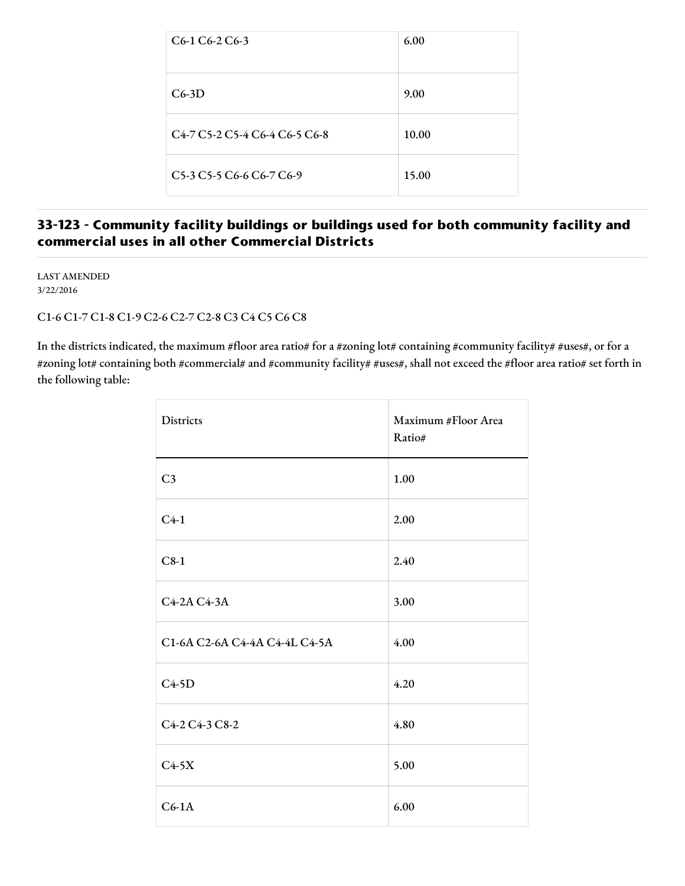| C <sub>6</sub> -1 C <sub>6</sub> -2 C <sub>6</sub> -3                                                       | 6.00  |
|-------------------------------------------------------------------------------------------------------------|-------|
| $C6-3D$                                                                                                     | 9.00  |
| C <sub>4</sub> -7 C <sub>2</sub> -2 C <sub>2</sub> -4 C <sub>6</sub> -4 C <sub>6</sub> -5 C <sub>6</sub> -8 | 10.00 |
| C5-3 C5-5 C6-6 C6-7 C6-9                                                                                    | 15.00 |

# **33-123 - Community facility buildings or buildings used for both community facility and commercial uses in all other Commercial Districts**

LAST AMENDED 3/22/2016

## C1-6 C1-7 C1-8 C1-9 C2-6 C2-7 C2-8 C3 C4 C5 C6 C8

In the districts indicated, the maximum #floor area ratio# for a #zoning lot# containing #community facility# #uses#, or for a #zoning lot# containing both #commercial# and #community facility# #uses#, shall not exceed the #floor area ratio# set forth in the following table:

| <b>Districts</b>              | Maximum #Floor Area<br>Ratio# |
|-------------------------------|-------------------------------|
| C <sub>3</sub>                | 1.00                          |
| $C4-1$                        | 2.00                          |
| $C8-1$                        | 2.40                          |
| C4-2A C4-3A                   | 3.00                          |
| C1-6A C2-6A C4-4A C4-4L C4-5A | 4.00                          |
| $C4-5D$                       | 4.20                          |
| C4-2 C4-3 C8-2                | 4.80                          |
| $C4-5X$                       | 5.00                          |
| $C6-1A$                       | 6.00                          |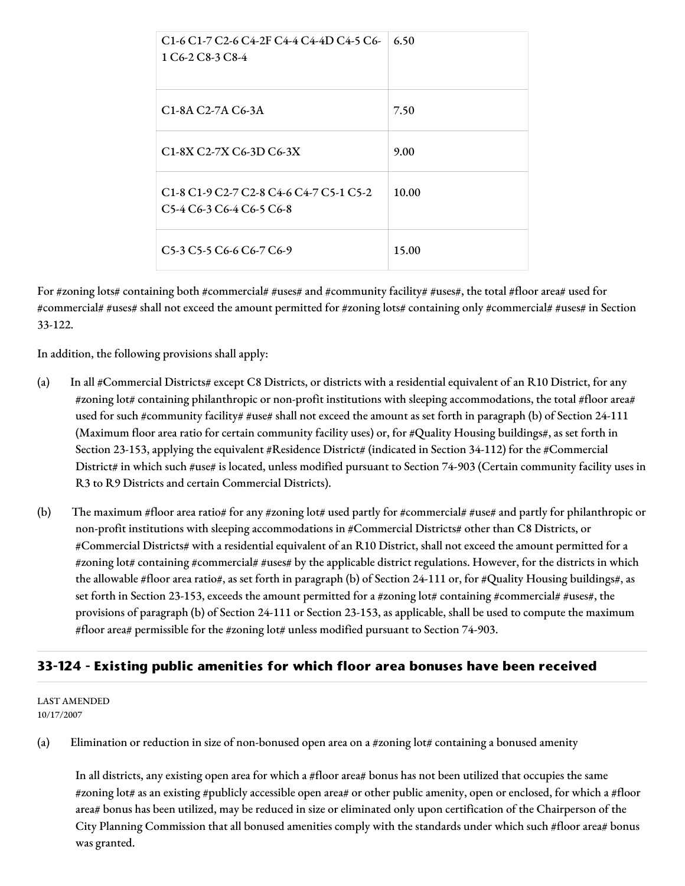| C1-6 C1-7 C2-6 C4-2F C4-4 C4-4D C4-5 C6-<br>1 C <sub>6</sub> -2 C <sub>8</sub> -3 C <sub>8</sub> -4                                                                                                                                          | 6.50  |
|----------------------------------------------------------------------------------------------------------------------------------------------------------------------------------------------------------------------------------------------|-------|
| C <sub>1</sub> -8A C <sub>2</sub> -7A C <sub>6</sub> -3A                                                                                                                                                                                     | 7.50  |
| C1-8X C2-7X C6-3D C6-3X                                                                                                                                                                                                                      | 9.00  |
| C <sub>1</sub> -8 C <sub>1</sub> -9 C <sub>2</sub> -7 C <sub>2</sub> -8 C <sub>4</sub> -6 C <sub>4</sub> -7 C <sub>5</sub> -1 C <sub>5</sub> -2<br>C <sub>5</sub> -4 C <sub>6</sub> -3 C <sub>6</sub> -4 C <sub>6</sub> -5 C <sub>6</sub> -8 | 10.00 |
| C <sub>5</sub> -3 C <sub>5</sub> -5 C <sub>6</sub> -6 C <sub>6</sub> -7 C <sub>6</sub> -9                                                                                                                                                    | 15.00 |

For #zoning lots# containing both #commercial# #uses# and #community facility# #uses#, the total #floor area# used for #commercial# #uses# shall not exceed the amount permitted for #zoning lots# containing only #commercial# #uses# in Section 33-122.

In addition, the following provisions shall apply:

- (a) In all #Commercial Districts# except C8 Districts, or districts with a residential equivalent of an R10 District, for any #zoning lot# containing philanthropic or non-profit institutions with sleeping accommodations, the total #floor area# used for such #community facility# #use# shall not exceed the amount as set forth in paragraph (b) of Section 24-111 (Maximum floor area ratio for certain community facility uses) or, for #Quality Housing buildings#, as set forth in Section 23-153, applying the equivalent #Residence District# (indicated in Section 34-112) for the #Commercial District# in which such #use# is located, unless modified pursuant to Section 74-903 (Certain community facility uses in R3 to R9 Districts and certain Commercial Districts).
- (b) The maximum #floor area ratio# for any #zoning lot# used partly for #commercial# #use# and partly for philanthropic or non-profit institutions with sleeping accommodations in #Commercial Districts# other than C8 Districts, or #Commercial Districts# with a residential equivalent of an R10 District, shall not exceed the amount permitted for a #zoning lot# containing #commercial# #uses# by the applicable district regulations. However, for the districts in which the allowable #floor area ratio#, as set forth in paragraph (b) of Section 24-111 or, for #Quality Housing buildings#, as set forth in Section 23-153, exceeds the amount permitted for a #zoning lot# containing #commercial# #uses#, the provisions of paragraph (b) of Section 24-111 or Section 23-153, as applicable, shall be used to compute the maximum #floor area# permissible for the #zoning lot# unless modified pursuant to Section 74-903.

## **33-124 - Existing public amenities for which floor area bonuses have been received**

#### LAST AMENDED 10/17/2007

(a) Elimination or reduction in size of non-bonused open area on a #zoning lot# containing a bonused amenity

In all districts, any existing open area for which a #floor area# bonus has not been utilized that occupies the same #zoning lot# as an existing #publicly accessible open area# or other public amenity, open or enclosed, for which a #floor area# bonus has been utilized, may be reduced in size or eliminated only upon certification of the Chairperson of the City Planning Commission that all bonused amenities comply with the standards under which such #floor area# bonus was granted.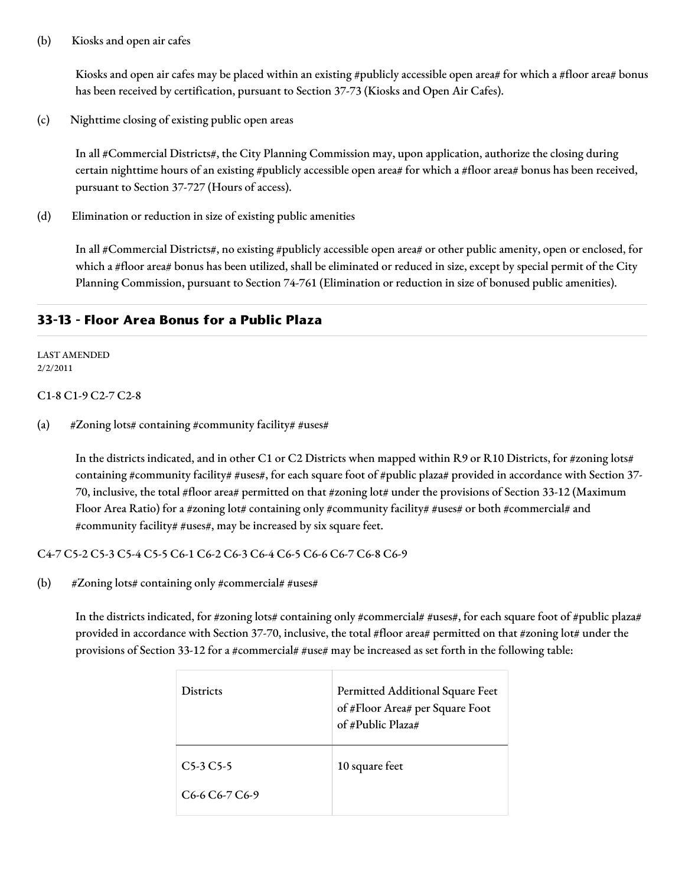#### (b) Kiosks and open air cafes

Kiosks and open air cafes may be placed within an existing #publicly accessible open area# for which a #floor area# bonus has been received by certification, pursuant to Section 37-73 (Kiosks and Open Air Cafes).

(c) Nighttime closing of existing public open areas

In all #Commercial Districts#, the City Planning Commission may, upon application, authorize the closing during certain nighttime hours of an existing #publicly accessible open area# for which a #floor area# bonus has been received, pursuant to Section 37-727 (Hours of access).

(d) Elimination or reduction in size of existing public amenities

In all #Commercial Districts#, no existing #publicly accessible open area# or other public amenity, open or enclosed, for which a #floor area# bonus has been utilized, shall be eliminated or reduced in size, except by special permit of the City Planning Commission, pursuant to Section 74-761 (Elimination or reduction in size of bonused public amenities).

## **33-13 - Floor Area Bonus for a Public Plaza**

#### LAST AMENDED 2/2/2011

#### C1-8 C1-9 C2-7 C2-8

(a)  $\# \text{Zoning}$  lots# containing #community facility# #uses#

In the districts indicated, and in other C1 or C2 Districts when mapped within R9 or R10 Districts, for #zoning lots# containing #community facility# #uses#, for each square foot of #public plaza# provided in accordance with Section 37-70, inclusive, the total #floor area# permitted on that #zoning lot# under the provisions of Section 33-12 (Maximum Floor Area Ratio) for a #zoning lot# containing only #community facility# #uses# or both #commercial# and #community facility# #uses#, may be increased by six square feet.

C4-7 C5-2 C5-3 C5-4 C5-5 C6-1 C6-2 C6-3 C6-4 C6-5 C6-6 C6-7 C6-8 C6-9

(b)  $\# \text{Zoning lots} \# \text{containing only }\# \text{commercial} \# \text{uses} \#$ 

In the districts indicated, for #zoning lots# containing only #commercial# #uses#, for each square foot of #public plaza# provided in accordance with Section 37-70, inclusive, the total #floor area# permitted on that #zoning lot# under the provisions of Section 33-12 for a #commercial# #use# may be increased as set forth in the following table:

| <b>Districts</b>                                      | Permitted Additional Square Feet<br>of #Floor Area# per Square Foot<br>of #Public Plaza# |
|-------------------------------------------------------|------------------------------------------------------------------------------------------|
| $C5-3C5-5$                                            | 10 square feet                                                                           |
| C <sub>6</sub> -6 C <sub>6</sub> -7 C <sub>6</sub> -9 |                                                                                          |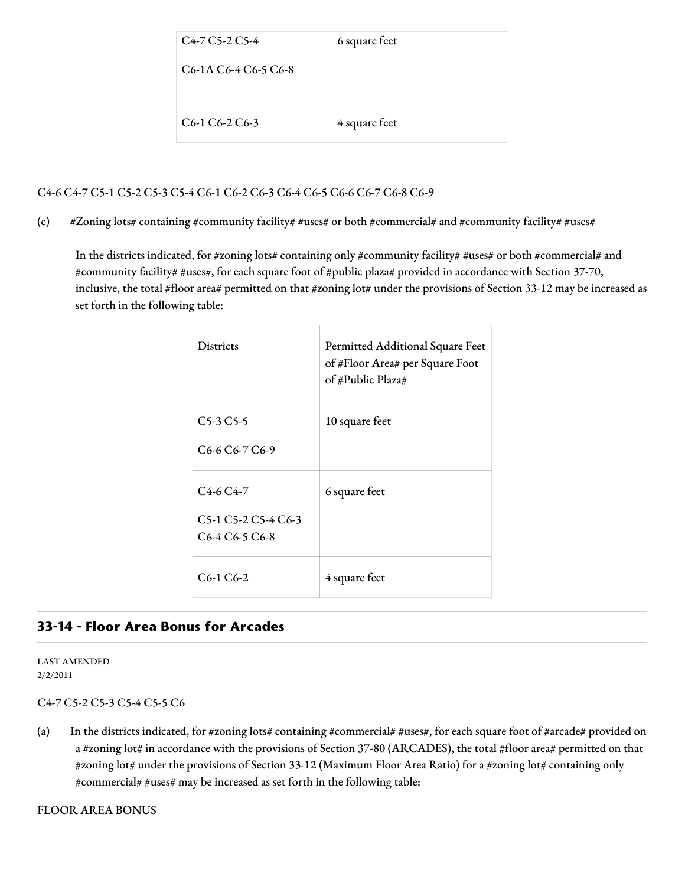| $C4-7 C5-2 C5-4$                                                         | 6 square feet |
|--------------------------------------------------------------------------|---------------|
| C <sub>6</sub> -1A C <sub>6</sub> -4 C <sub>6</sub> -5 C <sub>6</sub> -8 |               |
|                                                                          |               |
| $C6-1 C6-2 C6-3$                                                         | 4 square feet |

## C4-6 C4-7 C5-1 C5-2 C5-3 C5-4 C6-1 C6-2 C6-3 C6-4 C6-5 C6-6 C6-7 C6-8 C6-9

(c) #Zoning lots# containing #community facility# #uses# or both #commercial# and #community facility# #uses#

In the districts indicated, for #zoning lots# containing only #community facility# #uses# or both #commercial# and #community facility# #uses#, for each square foot of #public plaza# provided in accordance with Section 37-70, inclusive, the total #floor area# permitted on that #zoning lot# under the provisions of Section 33-12 may be increased as set forth in the following table:

| <b>Districts</b>                                                                                                                               | Permitted Additional Square Feet<br>of #Floor Area# per Square Foot<br>of #Public Plaza# |
|------------------------------------------------------------------------------------------------------------------------------------------------|------------------------------------------------------------------------------------------|
| $C5-3C5-5$<br>C <sub>6</sub> -6 C <sub>6</sub> -7 C <sub>6</sub> -9                                                                            | 10 square feet                                                                           |
| $C4-6C4-7$<br>C <sub>5</sub> -1 C <sub>5</sub> -2 C <sub>5</sub> -4 C <sub>6</sub> -3<br>C <sub>6</sub> -4 C <sub>6</sub> -5 C <sub>6</sub> -8 | 6 square feet                                                                            |
| $C6-1C6-2$                                                                                                                                     | 4 square feet                                                                            |

## **33-14 - Floor Area Bonus for Arcades**

LAST AMENDED 2/2/2011

#### C4-7 C5-2 C5-3 C5-4 C5-5 C6

(a) In the districts indicated, for #zoning lots# containing #commercial# #uses#, for each square foot of #arcade# provided on a #zoning lot# in accordance with the provisions of Section 37-80 (ARCADES), the total #floor area# permitted on that #zoning lot# under the provisions of Section 33-12 (Maximum Floor Area Ratio) for a #zoning lot# containing only #commercial# #uses# may be increased as set forth in the following table: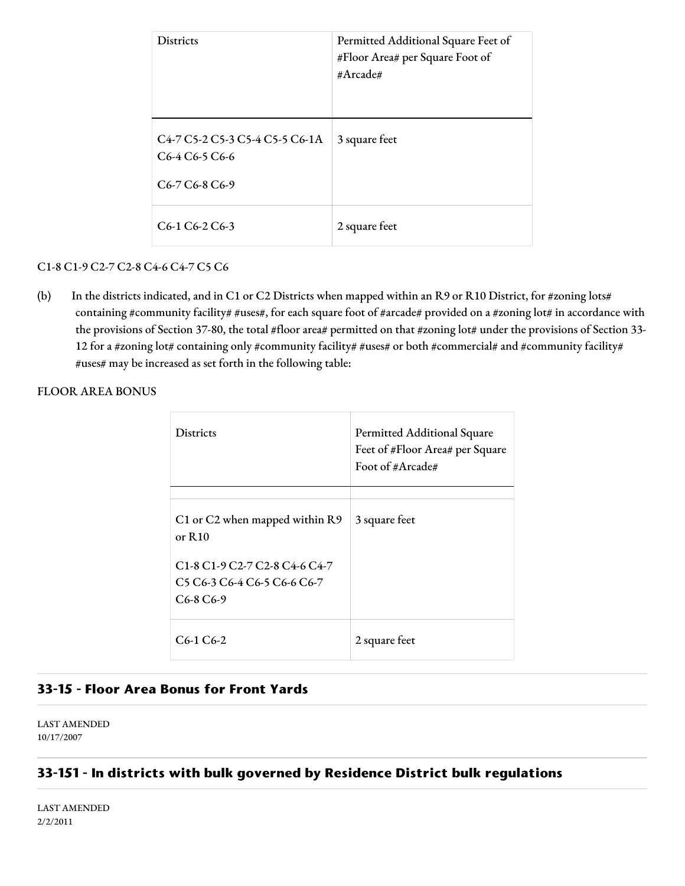| <b>Districts</b>                                                                                                                                                                                                               | Permitted Additional Square Feet of<br>#Floor Area# per Square Foot of<br>#Arcade# |
|--------------------------------------------------------------------------------------------------------------------------------------------------------------------------------------------------------------------------------|------------------------------------------------------------------------------------|
| C <sub>4</sub> -7 C <sub>2</sub> -2 C <sub>2</sub> -3 C <sub>2</sub> -4 C <sub>2</sub> -5 C <sub>6</sub> -1A<br>C <sub>6</sub> -4 C <sub>6</sub> -5 C <sub>6</sub> -6<br>C <sub>6</sub> -7 C <sub>6</sub> -8 C <sub>6</sub> -9 | 3 square feet                                                                      |
| $C6-1 C6-2 C6-3$                                                                                                                                                                                                               | 2 square feet                                                                      |

## C1-8 C1-9 C2-7 C2-8 C4-6 C4-7 C5 C6

(b) In the districts indicated, and in C1 or C2 Districts when mapped within an R9 or R10 District, for #zoning lots# containing #community facility# #uses#, for each square foot of #arcade# provided on a #zoning lot# in accordance with the provisions of Section 37-80, the total #floor area# permitted on that #zoning lot# under the provisions of Section 33-12 for a #zoning lot# containing only #community facility# #uses# or both #commercial# and #community facility# #uses# may be increased as set forth in the following table:

FLOOR AREA BONUS

| <b>Districts</b>                                                                                            | <b>Permitted Additional Square</b><br>Feet of #Floor Area# per Square<br>Foot of #Arcade# |
|-------------------------------------------------------------------------------------------------------------|-------------------------------------------------------------------------------------------|
|                                                                                                             |                                                                                           |
| C1 or C2 when mapped within R9<br>or $R10$                                                                  | 3 square feet                                                                             |
| C <sub>1</sub> -8 C <sub>1</sub> -9 C <sub>2</sub> -7 C <sub>2</sub> -8 C <sub>4</sub> -6 C <sub>4</sub> -7 |                                                                                           |
| C <sub>2</sub> C <sub>6</sub> -3 C <sub>6</sub> -4 C <sub>6</sub> -5 C <sub>6</sub> -6 C <sub>6</sub> -7    |                                                                                           |
| $C6-8 C6-9$                                                                                                 |                                                                                           |
| C <sub>6</sub> -1 C <sub>6</sub> -2                                                                         | 2 square feet                                                                             |

# **33-15 - Floor Area Bonus for Front Yards**

LAST AMENDED 10/17/2007

# **33-151 - In districts with bulk governed by Residence District bulk regulations**

LAST AMENDED 2/2/2011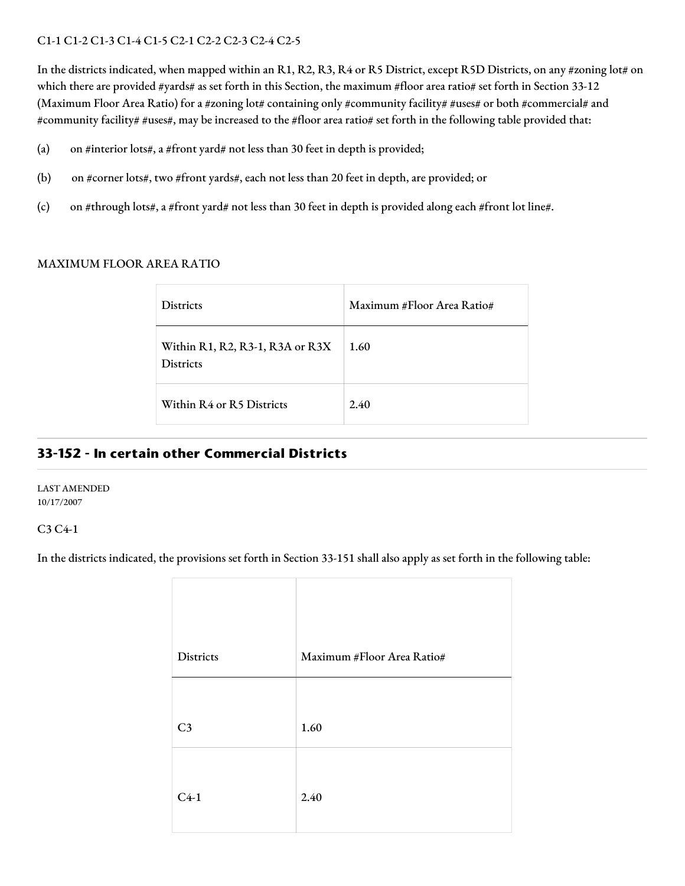## C1-1 C1-2 C1-3 C1-4 C1-5 C2-1 C2-2 C2-3 C2-4 C2-5

In the districts indicated, when mapped within an R1, R2, R3, R4 or R5 District, except R5D Districts, on any #zoning lot# on which there are provided #yards# as set forth in this Section, the maximum #floor area ratio# set forth in Section 33-12 (Maximum Floor Area Ratio) for a #zoning lot# containing only #community facility# #uses# or both #commercial# and #community facility# #uses#, may be increased to the #floor area ratio# set forth in the following table provided that:

- (a) on #interior lots#, a #front yard# not less than 30 feet in depth is provided;
- (b) on #corner lots#, two #front yards#, each not less than 20 feet in depth, are provided; or
- (c) on #through lots#, a #front yard# not less than 30 feet in depth is provided along each #front lot line#.

#### MAXIMUM FLOOR AREA RATIO

| <b>Districts</b>                                    | Maximum #Floor Area Ratio# |
|-----------------------------------------------------|----------------------------|
| Within R1, R2, R3-1, R3A or R3X<br><b>Districts</b> | 1.60                       |
| Within R4 or R5 Districts                           | 2.40                       |

## **33-152 - In certain other Commercial Districts**

LAST AMENDED 10/17/2007

#### C3 C4-1

In the districts indicated, the provisions set forth in Section 33-151 shall also apply as set forth in the following table:

| Districts      | Maximum #Floor Area Ratio# |
|----------------|----------------------------|
|                |                            |
| C <sub>3</sub> | 1.60                       |
|                |                            |
| $C4-1$         | 2.40                       |
|                |                            |